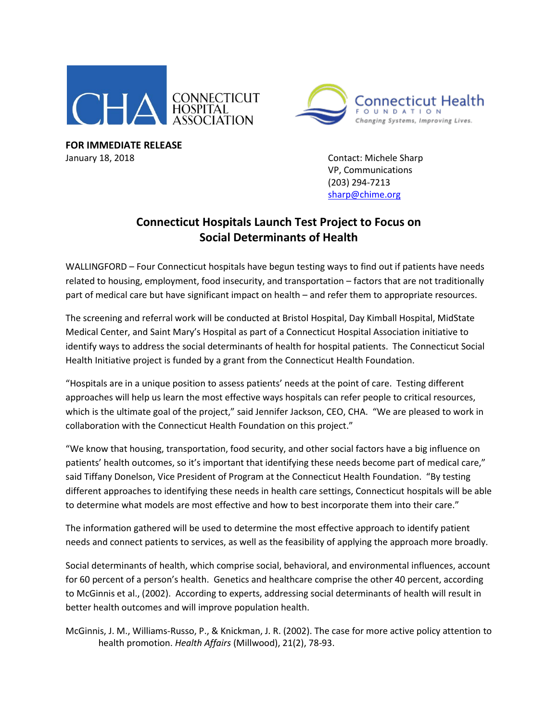



**FOR IMMEDIATE RELEASE** January 18, 2018 Contact: Michele Sharp

VP, Communications (203) 294-7213 [sharp@chime.org](mailto:sharp@chime.org)

## **Connecticut Hospitals Launch Test Project to Focus on Social Determinants of Health**

WALLINGFORD – Four Connecticut hospitals have begun testing ways to find out if patients have needs related to housing, employment, food insecurity, and transportation – factors that are not traditionally part of medical care but have significant impact on health – and refer them to appropriate resources.

The screening and referral work will be conducted at Bristol Hospital, Day Kimball Hospital, MidState Medical Center, and Saint Mary's Hospital as part of a Connecticut Hospital Association initiative to identify ways to address the social determinants of health for hospital patients. The Connecticut Social Health Initiative project is funded by a grant from the Connecticut Health Foundation.

"Hospitals are in a unique position to assess patients' needs at the point of care. Testing different approaches will help us learn the most effective ways hospitals can refer people to critical resources, which is the ultimate goal of the project," said Jennifer Jackson, CEO, CHA. "We are pleased to work in collaboration with the Connecticut Health Foundation on this project."

"We know that housing, transportation, food security, and other social factors have a big influence on patients' health outcomes, so it's important that identifying these needs become part of medical care," said Tiffany Donelson, Vice President of Program at the Connecticut Health Foundation. "By testing different approaches to identifying these needs in health care settings, Connecticut hospitals will be able to determine what models are most effective and how to best incorporate them into their care."

The information gathered will be used to determine the most effective approach to identify patient needs and connect patients to services, as well as the feasibility of applying the approach more broadly.

Social determinants of health, which comprise social, behavioral, and environmental influences, account for 60 percent of a person's health. Genetics and healthcare comprise the other 40 percent, according to McGinnis et al., (2002). According to experts, addressing social determinants of health will result in better health outcomes and will improve population health.

McGinnis, J. M., Williams-Russo, P., & Knickman, J. R. (2002). The case for more active policy attention to health promotion. *Health Affairs* (Millwood), 21(2), 78-93.